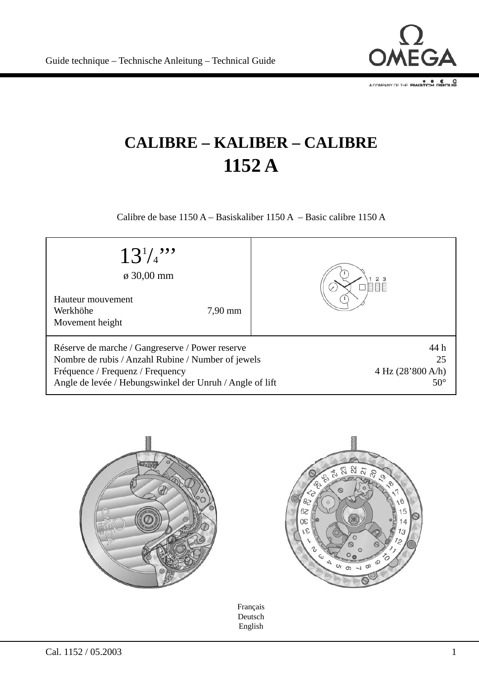

# **CALIBRE – KALIBER – CALIBRE 1152 A**

Calibre de base 1150 A – Basiskaliber 1150 A – Basic calibre 1150 A

| $13^{1/2}$<br>$\varphi$ 30,00 mm                                                                                                                                                                      |                                                                          |
|-------------------------------------------------------------------------------------------------------------------------------------------------------------------------------------------------------|--------------------------------------------------------------------------|
| Hauteur mouvement<br>Werkhöhe<br>$7,90$ mm<br>Movement height                                                                                                                                         |                                                                          |
| Réserve de marche / Gangreserve / Power reserve<br>Nombre de rubis / Anzahl Rubine / Number of jewels<br>Fréquence / Frequenz / Frequency<br>Angle de levée / Hebungswinkel der Unruh / Angle of lift | 44 h<br>25<br>$4 \text{ Hz} (28\text{°}800 \text{ A/h})$<br>$50^{\circ}$ |





Français Deutsch English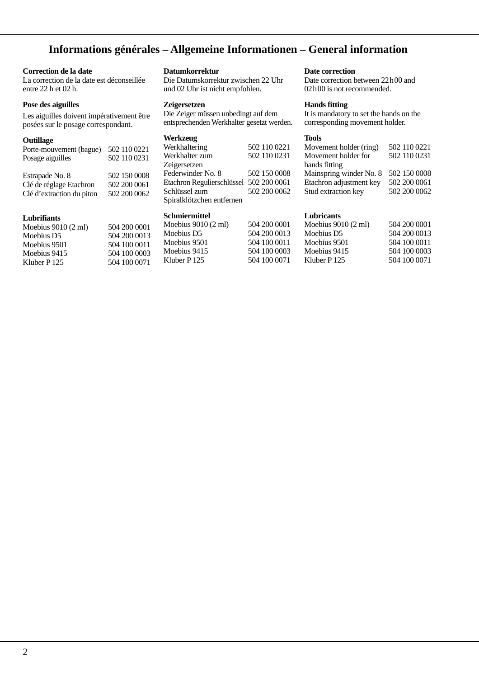# **Informations générales – Allgemeine Informationen – General information**

### **Correction de la date**

La correction de la date est déconseillée entre 22 h et 02 h.

### **Pose des aiguilles**

Les aiguilles doivent impérativement être posées sur le posage correspondant.

#### **Outillage**

| Porte-mouvement (bague)<br>Posage aiguilles | 502 110 0221<br>502 110 0231 |
|---------------------------------------------|------------------------------|
| Estrapade No. 8                             | 502 150 0008                 |
| Clé de réglage Etachron                     | 502 200 0061                 |
| Clé d'extraction du piton                   | 502 200 0062                 |

#### **Lubrifiants**

| Moebius 9010 (2 ml)    | 504 200 0001 |
|------------------------|--------------|
| Moebius D <sub>5</sub> | 504 200 0013 |
| Moebius 9501           | 504 100 0011 |
| Moebius 9415           | 504 100 0003 |
| Kluber P 125           | 504 100 0071 |

### **Datumkorrektur**

Die Datumskorrektur zwischen 22 Uhr und 02 Uhr ist nicht empfohlen.

#### **Zeigersetzen**

Die Zeiger müssen unbedingt auf dem ent sprechenden Werkhalter gesetzt werden.

## **Werkzeug**

| Werkhaltering                           | 502 110 0221 |
|-----------------------------------------|--------------|
| Werkhalter zum                          | 502 110 0231 |
| Zeigersetzen                            |              |
| Federwinder No. 8                       | 502 150 0008 |
| Etachron Regulierschlüssel 502 200 0061 |              |
| Schlüssel zum                           | 502 200 0062 |
| Spiralklötzchen entfernen               |              |

### **Schmiermittel**

| 504 200 0001 |
|--------------|
| 504 200 0013 |
| 504 100 0011 |
| 504 100 0003 |
| 504 100 0071 |
|              |

#### **Date correction**

Date correction between 22h00 and 02h00 is not recommended.

### **Hands fitting**

It is mandatory to set the hands on the corresponding movement holder.

#### **Tools**

| 502 110 0221 |
|--------------|
| 502 110 0231 |
|              |
|              |
| 502 150 0008 |
| 502 200 0061 |
|              |

#### **Lubricants**

| Moebius $9010(2 \text{ ml})$ | 504 200 0001 |
|------------------------------|--------------|
| Moebius D5                   | 504 200 0013 |
| Moebius 9501                 | 504 100 0011 |
| Moebius 9415                 | 504 100 0003 |
| Kluber P 125                 | 504 100 0071 |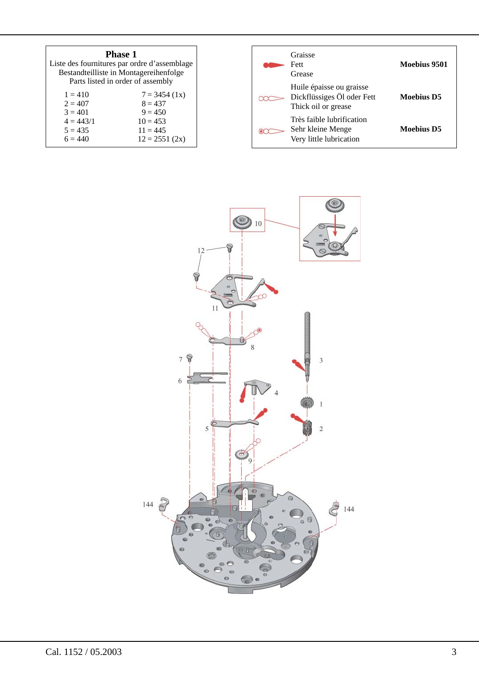| <b>Phase 1</b><br>Liste des fournitures par ordre d'assemblage<br>Bestandteilliste in Montagereihenfolge<br>Parts listed in order of assembly |                 |  |
|-----------------------------------------------------------------------------------------------------------------------------------------------|-----------------|--|
| $1 = 410$                                                                                                                                     | $7 = 3454(1x)$  |  |
| $2 = 407$                                                                                                                                     | $8 = 437$       |  |
| $3 = 401$                                                                                                                                     | $9 = 450$       |  |
| $4 = 443/1$                                                                                                                                   | $10 = 453$      |  |
| $5 = 435$                                                                                                                                     | $11 = 445$      |  |
| $6 = 440$                                                                                                                                     | $12 = 2551(2x)$ |  |

| Graisse<br>Fett<br>Grease                                                     | Moebius 9501      |
|-------------------------------------------------------------------------------|-------------------|
| Huile épaisse ou graisse<br>Dickflüssiges Öl oder Fett<br>Thick oil or grease | <b>Moebius D5</b> |
| Très faible lubrification<br>Sehr kleine Menge<br>Very little lubrication     | Moebius D5        |

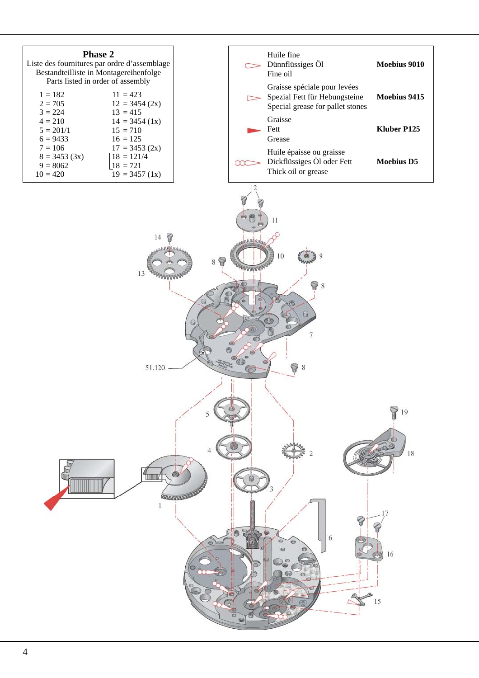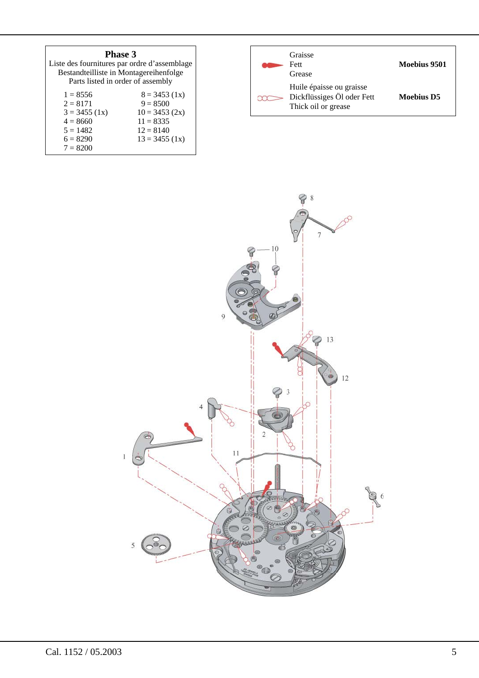| <b>Phase 3</b><br>Liste des fournitures par ordre d'assemblage<br>Bestandteilliste in Montagereihenfolge<br>Parts listed in order of assembly |                                                                                                  |  |
|-----------------------------------------------------------------------------------------------------------------------------------------------|--------------------------------------------------------------------------------------------------|--|
| $1 = 8556$<br>$2 = 8171$<br>$3 = 3455(1x)$<br>$4 = 8660$<br>$5 = 1482$<br>$6 = 8290$                                                          | $8 = 3453(1x)$<br>$9 = 8500$<br>$10 = 3453(2x)$<br>$11 = 8335$<br>$12 = 8140$<br>$13 = 3455(1x)$ |  |
| $7 = 8200$                                                                                                                                    |                                                                                                  |  |

| Graisse<br>Fett<br>Grease                                                     | Moebius 9501      |
|-------------------------------------------------------------------------------|-------------------|
| Huile épaisse ou graisse<br>Dickflüssiges Öl oder Fett<br>Thick oil or grease | <b>Moebius D5</b> |

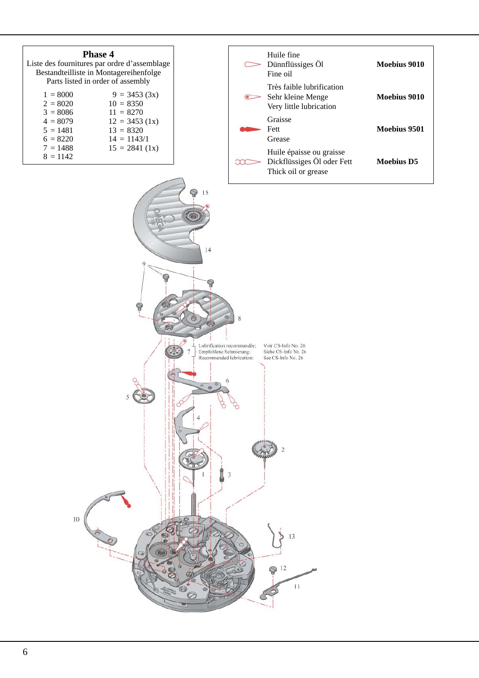| Phase 4<br>Liste des fournitures par ordre d'assemblage<br>Bestandteilliste in Montagereihenfolge<br>Parts listed in order of assembly |                                                                                                                    |  |
|----------------------------------------------------------------------------------------------------------------------------------------|--------------------------------------------------------------------------------------------------------------------|--|
| $1 = 8000$<br>$2 = 8020$<br>$3 = 8086$<br>$4 = 8079$<br>$5 = 1481$<br>$6 = 8220$<br>$7 = 1488$<br>$8 = 1142$                           | $9 = 3453(3x)$<br>$10 = 8350$<br>$11 = 8270$<br>$12 = 3453(1x)$<br>$13 = 8320$<br>$14 = 1143/1$<br>$15 = 2841(1x)$ |  |

| Huile fine<br>Dünnflüssiges Öl<br>Fine oil                                    | Moebius 9010 |
|-------------------------------------------------------------------------------|--------------|
| Très faible lubrification<br>Sehr kleine Menge<br>Very little lubrication     | Moebius 9010 |
| Graisse<br>Fett<br>Grease                                                     | Moebius 9501 |
| Huile épaisse ou graisse<br>Dickflüssiges Öl oder Fett<br>Thick oil or grease | Moebius D5   |

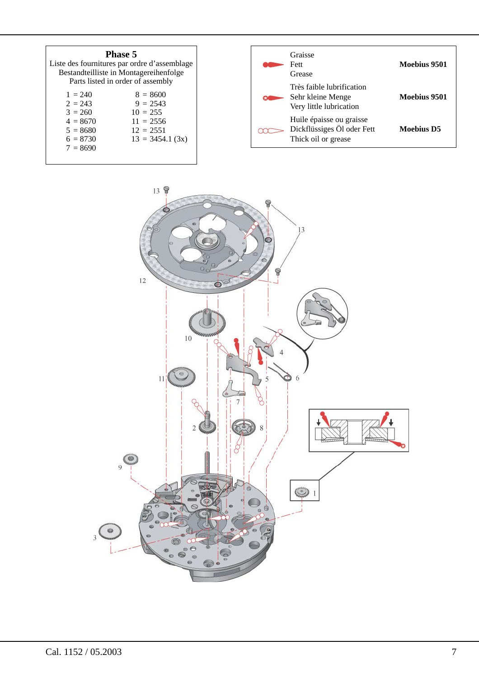| <b>Phase 5</b><br>Liste des fournitures par ordre d'assemblage<br>Bestandteilliste in Montagereihenfolge<br>Parts listed in order of assembly | Graisse<br><b>Fett</b><br>Grease                                              | Moebius 9501 |
|-----------------------------------------------------------------------------------------------------------------------------------------------|-------------------------------------------------------------------------------|--------------|
| $1 = 240$<br>$8 = 8600$<br>$2 = 243$<br>$9 = 2543$<br>$3 = 260$<br>$10 = 255$                                                                 | Très faible lubrification<br>Sehr kleine Menge<br>Very little lubrication     | Moebius 9501 |
| $4 = 8670$<br>$11 = 2556$<br>$5 = 8680$<br>$12 = 2551$<br>$6 = 8730$<br>$13 = 3454.1$ (3x)<br>$7 = 8690$                                      | Huile épaisse ou graisse<br>Dickflüssiges Öl oder Fett<br>Thick oil or grease | Moebius D5   |



 $\overline{\phantom{a}}$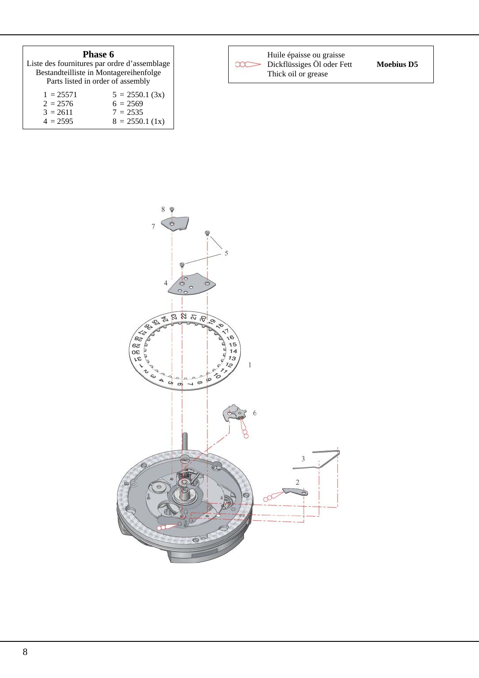| Phase 6                                      |                                        |  |  |  |  |  |
|----------------------------------------------|----------------------------------------|--|--|--|--|--|
| Liste des fournitures par ordre d'assemblage |                                        |  |  |  |  |  |
|                                              | Bestandteilliste in Montagereihenfolge |  |  |  |  |  |
| Parts listed in order of assembly            |                                        |  |  |  |  |  |
| $1 = 25571$                                  | $5 = 2550.1$ (3x)                      |  |  |  |  |  |
| $2 = 2576$                                   | $6 = 2569$                             |  |  |  |  |  |
| $3 = 2611$                                   | $7 = 2535$                             |  |  |  |  |  |
| $4 = 2595$                                   | $8 = 2550.1$ (1x)                      |  |  |  |  |  |



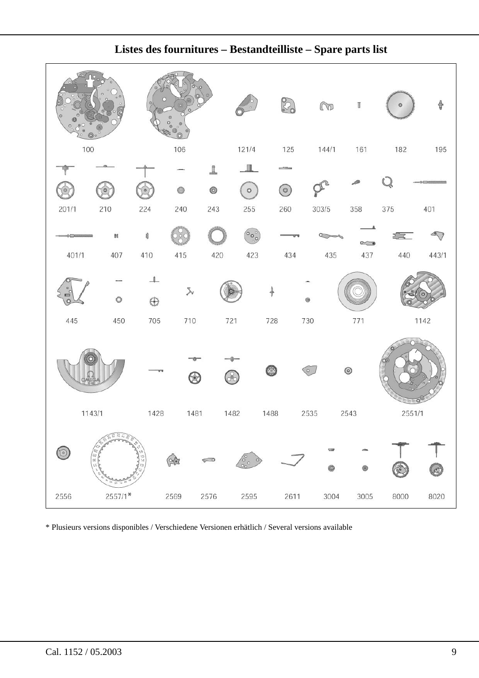

**Listes des fournitures – Bestandteilliste – Spare parts list**

\* Plusieurs versions disponibles / Verschiedene Versionen erhätlich / Several versions available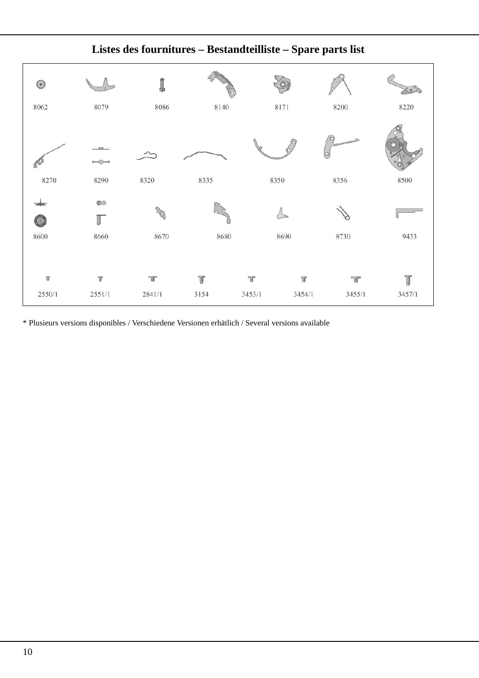

**Listes des fournitures – Bestandteilliste – Spare parts list**

\* Plusieurs versions disponibles / Verschiedene Versionen erhätlich / Several versions available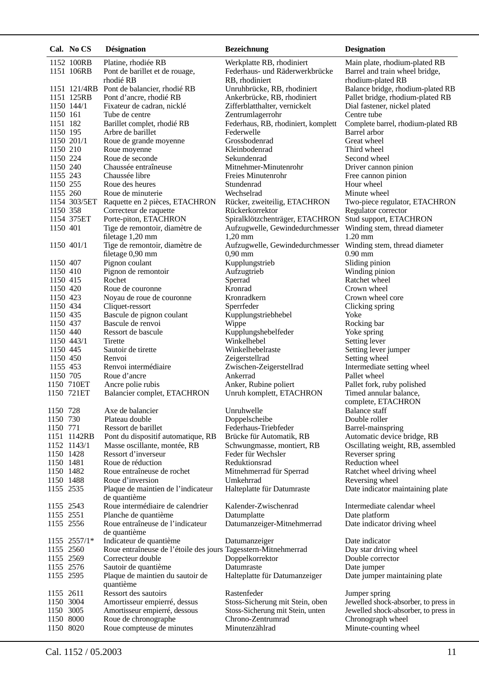|                        | Cal. No CS               | <b>Désignation</b>                                             | <b>Bezeichnung</b>                                           | <b>Designation</b>                                               |
|------------------------|--------------------------|----------------------------------------------------------------|--------------------------------------------------------------|------------------------------------------------------------------|
|                        | 1152 100RB               | Platine, rhodiée RB                                            | Werkplatte RB, rhodiniert                                    | Main plate, rhodium-plated RB                                    |
|                        | 1151 106RB               | Pont de barillet et de rouage,                                 | Federhaus- und Räderwerkbrücke                               | Barrel and train wheel bridge,                                   |
|                        |                          | rhodié RB                                                      | RB, rhodiniert                                               | rhodium-plated RB                                                |
|                        |                          | 1151 121/4RB Pont de balancier, rhodié RB                      | Unruhbrücke, RB, rhodiniert                                  | Balance bridge, rhodium-plated RB                                |
|                        | 1151 125RB<br>1150 144/1 | Pont d'ancre, rhodié RB<br>Fixateur de cadran, nicklé          | Ankerbrücke, RB, rhodiniert<br>Zifferblatthalter, vernickelt | Pallet bridge, rhodium-plated RB<br>Dial fastener, nickel plated |
| 1150 161               |                          | Tube de centre                                                 | Zentrumlagerrohr                                             | Centre tube                                                      |
| 1151 182               |                          | Barillet complet, rhodié RB                                    | Federhaus, RB, rhodiniert, komplett                          | Complete barrel, rhodium-plated RB                               |
| 1150 195               |                          | Arbre de barillet                                              | Federwelle                                                   | Barrel arbor                                                     |
|                        | 1150 201/1               | Roue de grande moyenne                                         | Grossbodenrad                                                | Great wheel                                                      |
| 1150 210               |                          | Roue moyenne                                                   | Kleinbodenrad                                                | Third wheel                                                      |
| 1150 224<br>1150 240   |                          | Roue de seconde<br>Chaussée entraîneuse                        | Sekundenrad<br>Mitnehmer-Minutenrohr                         | Second wheel<br>Driver cannon pinion                             |
| 1155 243               |                          | Chaussée libre                                                 | Freies Minutenrohr                                           | Free cannon pinion                                               |
| 1150 255               |                          | Roue des heures                                                | Stundenrad                                                   | Hour wheel                                                       |
| 1155 260               |                          | Roue de minuterie                                              | Wechselrad                                                   | Minute wheel                                                     |
|                        |                          | 1154 303/5ET Raquette en 2 pièces, ETACHRON                    | Rücker, zweiteilig, ETACHRON                                 | Two-piece regulator, ETACHRON                                    |
| 1150 358               |                          | Correcteur de raquette                                         | Rückerkorrektor                                              | Regulator corrector                                              |
| 1150 401               | 1154 375ET               | Porte-piton, ETACHRON<br>Tige de remontoir, diamètre de        | Spiralklötzchenträger, ETACHRON                              | Stud support, ETACHRON                                           |
|                        |                          | filetage 1,20 mm                                               | Aufzugwelle, Gewindedurchmesser<br>$1,20$ mm                 | Winding stem, thread diameter<br>$1.20$ mm                       |
|                        | 1150 401/1               | Tige de remontoir, diamètre de                                 | Aufzugwelle, Gewindedurchmesser                              | Winding stem, thread diameter                                    |
|                        |                          | filetage 0,90 mm                                               | $0,90$ mm                                                    | $0.90$ mm                                                        |
| 1150 407               |                          | Pignon coulant                                                 | Kupplungstrieb                                               | Sliding pinion                                                   |
| 1150 410               |                          | Pignon de remontoir                                            | Aufzugtrieb                                                  | Winding pinion                                                   |
| 1150 415               |                          | Rochet                                                         | Sperrad                                                      | Ratchet wheel                                                    |
| 1150 420<br>1150 423   |                          | Roue de couronne<br>Noyau de roue de couronne                  | Kronrad<br>Kronradkern                                       | Crown wheel<br>Crown wheel core                                  |
| 1150 434               |                          | Cliquet-ressort                                                | Sperrfeder                                                   | Clicking spring                                                  |
| 1150 435               |                          | Bascule de pignon coulant                                      | Kupplungstriebhebel                                          | Yoke                                                             |
| 1150 437               |                          | Bascule de renvoi                                              | Wippe                                                        | Rocking bar                                                      |
| 1150 440               |                          | Ressort de bascule                                             | Kupplungshebelfeder                                          | Yoke spring                                                      |
|                        | 1150 443/1               | Tirette                                                        | Winkelhebel                                                  | Setting lever                                                    |
| 1150 445<br>1150 450   |                          | Sautoir de tirette<br>Renvoi                                   | Winkelhebelraste<br>Zeigerstellrad                           | Setting lever jumper<br>Setting wheel                            |
| 1155 453               |                          | Renvoi intermédiaire                                           | Zwischen-Zeigerstellrad                                      | Intermediate setting wheel                                       |
| 1150 705               |                          | Roue d'ancre                                                   | Ankerrad                                                     | Pallet wheel                                                     |
|                        | 1150 710ET               | Ancre polie rubis                                              | Anker, Rubine poliert                                        | Pallet fork, ruby polished                                       |
|                        | 1150 721ET               | Balancier complet, ETACHRON                                    | Unruh komplett, ETACHRON                                     | Timed annular balance,                                           |
| 1150 728               |                          | Axe de balancier                                               | Unruhwelle                                                   | complete, ETACHRON<br><b>Balance staff</b>                       |
| 1150 730               |                          | Plateau double                                                 | Doppelscheibe                                                | Double roller                                                    |
| 1150 771               |                          | Ressort de barillet                                            | Federhaus-Triebfeder                                         | Barrel-mainspring                                                |
|                        | 1151 1142RB              | Pont du dispositif automatique, RB                             | Brücke für Automatik, RB                                     | Automatic device bridge, RB                                      |
|                        | 1152 1143/1              | Masse oscillante, montée, RB                                   | Schwungmasse, montiert, RB                                   | Oscillating weight, RB, assembled                                |
| 1150 1428<br>1150 1481 |                          | Ressort d'inverseur                                            | Feder für Wechsler                                           | Reverser spring<br>Reduction wheel                               |
| 1150 1482              |                          | Roue de réduction<br>Roue entraîneuse de rochet                | Reduktionsrad<br>Mitnehmerrad für Sperrad                    | Ratchet wheel driving wheel                                      |
| 1150 1488              |                          | Roue d'inversion                                               | Umkehrrad                                                    | Reversing wheel                                                  |
| 1155 2535              |                          | Plaque de maintien de l'indicateur                             | Halteplatte für Datumraste                                   | Date indicator maintaining plate                                 |
| 1155 2543              |                          | de quantième<br>Roue intermédiaire de calendrier               | KaIender-Zwischenrad                                         | Intermediate calendar wheel                                      |
| 1155 2551              |                          | Planche de quantième                                           | Datumplatte                                                  | Date platform                                                    |
| 1155 2556              |                          | Roue entraîneuse de l'indicateur                               | Datumanzeiger-Mitnehmerrad                                   | Date indicator driving wheel                                     |
|                        | 1155 2557/1*             | de quantième<br>Indicateur de quantième                        | Datumanzeiger                                                | Date indicator                                                   |
| 1155 2560              |                          | Roue entraîneuse de l'étoile des jours Tagesstern-Mitnehmerrad |                                                              | Day star driving wheel                                           |
| 1155 2569              |                          | Correcteur double                                              | Doppelkorrektor                                              | Double corrector                                                 |
| 1155 2576              |                          | Sautoir de quantième                                           | Datumraste                                                   | Date jumper                                                      |
| 1155 2595              |                          | Plaque de maintien du sautoir de<br>quantième                  | Halteplatte für Datumanzeiger                                | Date jumper maintaining plate                                    |
| 1155 2611              |                          | Ressort des sautoirs                                           | Rastenfeder                                                  | Jumper spring                                                    |
| 1150 3004              |                          | Amortisseur empierré, dessus                                   | Stoss-Sicherung mit Stein, oben                              | Jewelled shock-absorber, to press in                             |
| 1150 3005              |                          | Amortisseur empierré, dessous                                  | Stoss-Sicherung mit Stein, unten                             | Jewelled shock-absorber, to press in                             |
| 1150 8000<br>1150 8020 |                          | Roue de chronographe                                           | Chrono-Zentrumrad<br>Minutenzählrad                          | Chronograph wheel                                                |
|                        |                          | Roue compteuse de minutes                                      |                                                              | Minute-counting wheel                                            |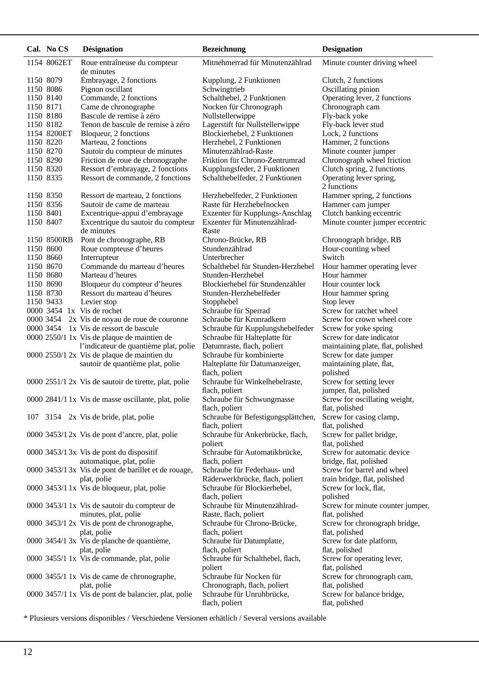|           | Cal. No CS             | Désignation                                                | Bezeichnung                                                     | <b>Designation</b>                           |
|-----------|------------------------|------------------------------------------------------------|-----------------------------------------------------------------|----------------------------------------------|
|           | 1154 8062ET            | Roue entraîneuse du compteur<br>de minutes                 | Mitnehmerrad für Minutenzählrad                                 | Minute counter driving wheel                 |
| 1150 8079 | 1150 8086              | Embrayage, 2 fonctions<br>Pignon oscillant                 | Kupplung, 2 Funktionen<br>Schwingtrieb                          | Clutch, 2 functions<br>Oscillating pinion    |
|           | 1150 8140              | Commande, 2 fonctions                                      | Schalthebel, 2 Funktionen                                       | Operating lever, 2 functions                 |
| 1150 8171 |                        | Came de chronographe                                       | Nocken für Chronograph                                          | Chronograph cam                              |
|           | 1150 8180              | Bascule de remise à zéro                                   | Nullstellerwippe                                                | Fly-back yoke                                |
|           | 1150 8182              | Tenon de bascule de remise à zéro                          | Lagerstift für Nullstellerwippe                                 | Fly-back lever stud                          |
|           | 1154 8200ET            | Bloqueur, 2 fonctions                                      | Blockierhebel, 2 Funktionen                                     | Lock, 2 functions                            |
|           | 1150 8220              | Marteau, 2 fonctions                                       | Herzhebel, 2 Funktionen                                         | Hammer, 2 functions                          |
|           | 1150 8270              | Sautoir du compteur de minutes                             | Minutenzählrad-Raste                                            | Minute counter jumper                        |
|           | 1150 8290              | Friction de roue de chronographe                           | Friktion für Chrono-Zentrumrad                                  | Chronograph wheel friction                   |
|           | 1150 8320              | Ressort d'embrayage, 2 fonctions                           | Kupplungsfeder, 2 Funktionen                                    | Clutch spring, 2 functions                   |
|           | 1150 8335              | Ressort de commande, 2 fonctions                           | Schalthebelfeder, 2 Funktionen                                  | Operating lever spring,<br>2 functions       |
|           | 1150 8350              | Ressort de marteau, 2 fonctions                            | Herzhebelfeder, 2 Funktionen                                    | Hammer spring, 2 functions                   |
|           | 1150 8356              | Sautoir de came de marteau                                 | Raste für Herzhebelnocken                                       | Hammer cam jumper                            |
| 1150 8401 |                        | Excentrique-appui d'embrayage                              | Exzenter für Kupplungs-Anschlag<br>Exzenter für Minutenzählrad- | Clutch banking eccentric                     |
| 1150 8407 |                        | Excentrique du sautoir du compteur<br>de minutes           | Raste                                                           | Minute counter jumper eccentric              |
|           | 1150 8500RB            | Pont de chronographe, RB                                   | Chrono-Brücke, RB                                               | Chronograph bridge, RB                       |
|           | 1150 8600              | Roue compteuse d'heures                                    | Stundenzählrad                                                  | Hour-counting wheel                          |
|           | 1150 8660              | Interrupteur<br>Commande du marteau d'heures               | Unterbrecher                                                    | Switch                                       |
|           | 1150 8670<br>1150 8680 | Marteau d'heures                                           | Schalthebel für Stunden-Herzhebel<br>Stunden-Herzhebel          | Hour hammer operating lever<br>Hour hammer   |
|           | 1150 8690              | Bloqueur du compteur d'heures                              | Blockierhebel für Stundenzähler                                 | Hour counter lock                            |
|           | 1150 8730              | Ressort du marteau d'heures                                | Stunden-Herzhebelfeder                                          | Hour hammer spring                           |
| 1150 9433 |                        | Levier stop                                                | Stopphebel                                                      | Stop lever                                   |
|           |                        | 0000 3454 1x Vis de rochet                                 | Schraube für Sperrad                                            | Screw for ratchet wheel                      |
|           | 0000 3454              | 2x Vis de noyau de roue de couronne                        | Schraube für Kronradkern                                        | Screw for crown wheel core                   |
|           |                        | 0000 3454 1x Vis de ressort de bascule                     | Schraube für Kupplungshebelfeder                                | Screw for yoke spring                        |
|           |                        | 0000 2550/1 1x Vis de plaque de maintien de                | Schraube für Halteplatte für                                    | Screw for date indicator                     |
|           |                        | l'indicateur de quantième plat, polie                      | Datumraste, flach, poliert                                      | maintaining plate, flat, polished            |
|           |                        | 0000 2550/1 2x Vis de plaque de maintien du                | Schraube für kombinierte                                        | Screw for date jumper                        |
|           |                        | sautoir de quantième plat, polie                           | Halteplatte für Datumanzeiger,<br>flach, poliert                | maintaining plate, flat,<br>polished         |
|           |                        | 0000 2551/1 2x Vis de sautoir de tirette, plat, polie      | Schraube für Winkelhebelraste,                                  | Screw for setting lever                      |
|           |                        |                                                            | flach, poliert                                                  | jumper, flat, polished                       |
|           |                        | 0000 2841/1 1x Vis de masse oscillante, plat, polie        | Schraube für Schwungmasse                                       | Screw for oscillating weight,                |
|           |                        |                                                            | flach, poliert                                                  | flat, polished                               |
|           |                        | 107 3154 2x Vis de bride, plat, polie                      | Schraube für Befestigungsplättchen,                             | Screw for casing clamp,                      |
|           |                        |                                                            | flach, poliert                                                  | flat, polished                               |
|           |                        | 0000 3453/1 2x Vis de pont d'ancre, plat, polie            | Schraube für Ankerbrücke, flach,<br>poliert                     | Screw for pallet bridge,<br>flat, polished   |
|           |                        | 0000 3453/1 3x Vis de pont du dispositif                   | Schraube für Automatikbrücke,                                   | Screw for automatic device                   |
|           |                        | automatique, plat, polie                                   | flach, poliert                                                  | bridge, flat, polished                       |
|           |                        | 0000 3453/1 3x Vis de pont de barillet et de rouage,       | Schraube für Federhaus- und                                     | Screw for barrel and wheel                   |
|           |                        | plat, polie<br>0000 3453/1 1x Vis de bloqueur, plat, polie | Räderwerkbrücke, flach, poliert<br>Schraube für Blockierhebel,  | train bridge, flat, polished                 |
|           |                        |                                                            | flach, poliert                                                  | Screw for lock, flat,<br>polished            |
|           |                        | 0000 3453/1 1x Vis de sautoir du compteur de               | Schraube für Minutenzählrad-                                    | Screw for minute counter jumper,             |
|           |                        | minutes, plat, polie                                       | Raste, flach, poliert                                           | flat, polished                               |
|           |                        | 0000 3453/1 2x Vis de pont de chronographe,                | Schraube für Chrono-Brücke,                                     | Screw for chronograph bridge,                |
|           |                        | plat, polie                                                | flach, poliert                                                  | flat, polished                               |
|           |                        | 0000 3454/1 3x Vis de planche de quantième,                | Schraube für Datumplatte,                                       | Screw for date platform,                     |
|           |                        | plat, polie                                                | flach, poliert                                                  | flat, polished                               |
|           |                        | 0000 3455/1 1x Vis de commande, plat, polie                | Schraube für Schalthebel, flach,                                | Screw for operating lever,                   |
|           |                        |                                                            | poliert<br>Schraube für Nocken für                              | flat, polished                               |
|           |                        | 0000 3455/1 1x Vis de came de chronographe,<br>plat, polie | Chronograph, flach, poliert                                     | Screw for chronograph cam,<br>flat, polished |
|           |                        | 0000 3457/1 1x Vis de pont de balancier, plat, polie       | Schraube für Unruhbrücke,                                       | Screw for balance bridge,                    |
|           |                        |                                                            | flach, poliert                                                  | flat, polished                               |

\* Plusieurs versions disponibles / Verschiedene Versionen erhätlich / Several versions available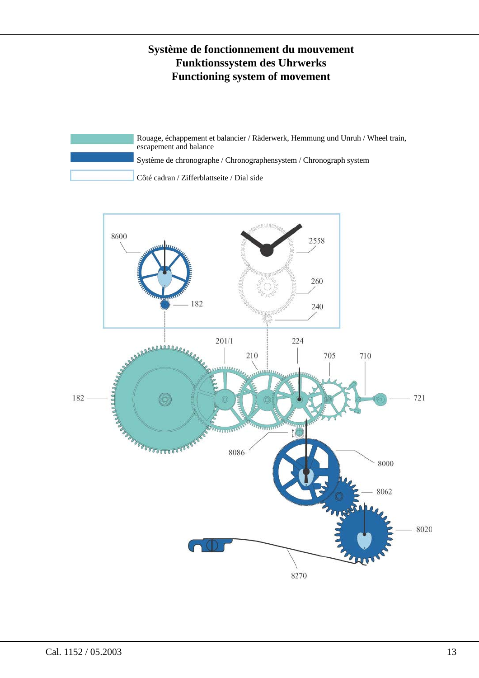# **Système de fonctionnement du mouvement Funktionssystem des Uhrwerks Functioning system of movement**

Rouage, échappement et balancier / Räderwerk, Hemmung und Unruh / Wheel train, escapement and balance Système de chronographe / Chronographensystem / Chronograph system Côté cadran / Zifferblattseite / Dial side

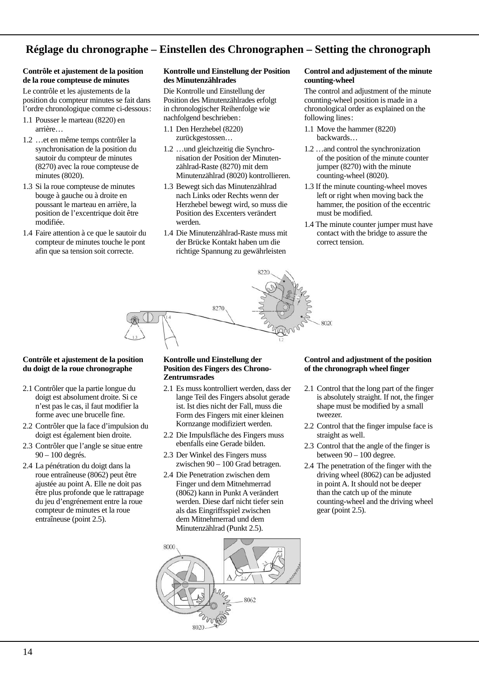# **Réglage du chronographe – Einstellen des Chronographen – Setting the chronograph**

#### **Contrôle et ajustement de la position de la roue compteuse de minutes**

Le contrôle et les ajustements de la position du compteur minutes se fait dans l'ordre chronologique comme ci-dessous :

- 1.1 Pousser le marteau (8220) en arrière…
- 1.2 …et en même temps contrôler la synchronisation de la position du sautoir du compteur de minutes (8270) avec la roue compteuse de minutes (8020).
- 1.3 Si la roue compteuse de minutes bouge à gauche ou à droite en poussant le marteau en arrière, la position de l'excentrique doit être modifiée.
- 1.4 Faire attention à ce que le sautoir du compteur de minutes touche le pont afin que sa tension soit correcte.

#### **Kontrolle und Einstellung der Position des Minutenzählrades**

Die Kontrolle und Einstellung der Position des Minutenzählrades erfolgt in chronologischer Reihenfolge wie nachfolgend beschrieben :

- 1.1 Den Herzhebel (8220) zurück gestossen…
- 1.2 …und gleichzeitig die Synchroni sation der Position der Minutenzählrad-Raste (8270) mit dem Minutenzählrad (8020) kontrollieren.
- 1.3 Bewegt sich das Minutenzählrad nach Links oder Rechts wenn der Herzhebel bewegt wird, so muss die Position des Excenters verändert werden.
- 1.4 Die Minutenzählrad-Raste muss mit der Brücke Kontakt haben um die richtige Spannung zu gewährleisten

#### **Control and adjustement of the minute counting-wheel**

The control and adjustment of the minute counting-wheel position is made in a chronological order as explained on the following lines :

- 1.1 Move the hammer (8220) backwards…
- 1.2 …and control the synchronization of the position of the minute counter jumper (8270) with the minute counting-wheel (8020).
- 1.3 If the minute counting-wheel moves left or right when moving back the hammer, the position of the eccentric must be modified.
- 1.4 The minute counter jumper must have contact with the bridge to assure the correct tension.



#### **Contrôle et ajustement de la position du doigt de la roue chronographe**

- 2.1 Contrôler que la partie longue du doigt est absolument droite. Si ce n'est pas le cas, il faut modifier la forme avec une brucelle fine.
- 2.2 Contrôler que la face d'impulsion du doigt est également bien droite.
- 2.3 Contrôler que l'angle se situe entre 90 – 100 degrés.
- 2.4 La pénétration du doigt dans la roue entraîneuse (8062) peut être ajustée au point A. Elle ne doit pas être plus profonde que le rattrapage du jeu d'engrénement entre la roue compteur de minutes et la roue entraîneuse (point 2.5).

#### **Kontrolle und Einstellung der Position des Fingers des Chrono-Zentrumsrades**

- 2.1 Es muss kontrolliert werden, dass der lange Teil des Fingers absolut gerade ist. Ist dies nicht der Fall, muss die Form des Fingers mit einer kleinen Kornzange modifiziert werden.
- 2.2 Die Impulsfläche des Fingers muss ebenfalls eine Gerade bilden.
- 2.3 Der Winkel des Fingers muss zwischen 90 – 100 Grad betragen.
- 2.4 Die Penetration zwischen dem Finger und dem Mitnehmerrad (8062) kann in Punkt A verändert werden. Diese darf nicht tiefer sein als das Eingriffsspiel zwischen dem Mitnehmerrad und dem Minutenzählrad (Punkt 2.5).

#### **Control and adjustment of the position of the chronograph wheel finger**

- 2.1 Control that the long part of the finger is absolutely straight. If not, the finger shape must be modified by a small tweezer.
- 2.2 Control that the finger impulse face is straight as well.
- 2.3 Control that the angle of the finger is between  $90 - 100$  degree.
- 2.4 The penetration of the finger with the driving wheel (8062) can be adjusted in point A. It should not be deeper than the catch up of the minute counting-wheel and the driving wheel gear (point 2.5).

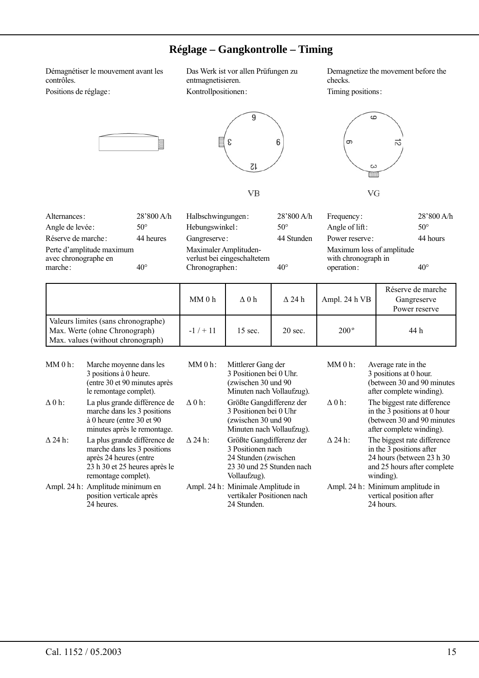# **Réglage – Gangkontrolle – Timing**

Démagnétiser le mouvement avant les contrôles.

Alternances: 28'800 A/h

Angle de levée :  $50^{\circ}$ Réserve de marche : 44 heures

marche:  $\frac{640^\circ}{40^\circ}$ 

Perte d'amplitude maximum avec chronographe en

Positions de réglage :

Das Werk ist vor allen Prüfungen zu entmagnetisieren. Kontrollpositionen :

Demagnetize the movement before the checks.

Timing positions :





**VB** 

Halbschwingungen:  $28'800$  A/h

Gangreserve: 44 Stunden

Hebungswinkel:  $50^{\circ}$ 

Maximaler Amplitudenverlust bei eingeschaltetem Chronographen : 40°



Frequency: 28'800 A/h Angle of lift:  $50^\circ$ Power reserve: 44 hours Maximum loss of amplitude with chronograph in operation :  $40^{\circ}$ 

|                                                                                                           | MM0h    | $\Delta$ 0 h       | $\Delta$ 24 h | Ampl. 24 h VB | Réserve de marche<br>Gangreserve<br>Power reserve |
|-----------------------------------------------------------------------------------------------------------|---------|--------------------|---------------|---------------|---------------------------------------------------|
| Valeurs limites (sans chronographe)<br>Max. Werte (ohne Chronograph)<br>Max. values (without chronograph) | $-1/11$ | $15 \text{ sec}$ . | $20$ sec.     | $200^\circ$   | 44 h                                              |

| $MM0h$ :       | Marche moyenne dans les<br>3 positions à 0 heure.<br>(entre 30 et 90 minutes après<br>le remontage complet).                                  | $MM0h$ :       | Mittlerer Gang der<br>3 Positionen bei 0 Uhr.<br>(zwischen 30 und 90<br>Minuten nach Vollaufzug).                  | $MM0h$ :       | Average rate in the<br>3 positions at 0 hour.<br>(between 30 and 90 minutes)<br>after complete winding).                          |
|----------------|-----------------------------------------------------------------------------------------------------------------------------------------------|----------------|--------------------------------------------------------------------------------------------------------------------|----------------|-----------------------------------------------------------------------------------------------------------------------------------|
| $\Delta 0$ h:  | La plus grande différence de<br>marche dans les 3 positions<br>à 0 heure (entre 30 et 90<br>minutes après le remontage.                       | $\Delta 0$ h:  | Größte Gangdifferenz der<br>3 Positionen bei 0 Uhr<br>(zwischen 30 und 90)<br>Minuten nach Vollaufzug).            | $\Delta$ 0 h:  | The biggest rate difference<br>in the 3 positions at 0 hour<br>(between 30 and 90 minutes<br>after complete winding).             |
| $\Delta$ 24 h: | La plus grande différence de<br>marche dans les 3 positions<br>après 24 heures (entre<br>23 h 30 et 25 heures après le<br>remontage complet). | $\Delta$ 24 h: | Größte Gangdifferenz der<br>3 Positionen nach<br>24 Stunden (zwischen<br>23 30 und 25 Stunden nach<br>Vollaufzug). | $\Delta$ 24 h: | The biggest rate difference<br>in the 3 positions after<br>24 hours (between 23 h 30)<br>and 25 hours after complete<br>winding). |
|                | Ampl. 24 h: Amplitude minimum en<br>position verticale après<br>24 heures.                                                                    |                | Ampl. 24 h: Minimale Amplitude in<br>vertikaler Positionen nach<br>24 Stunden.                                     |                | Ampl. 24 h: Minimum amplitude in<br>vertical position after<br>24 hours.                                                          |